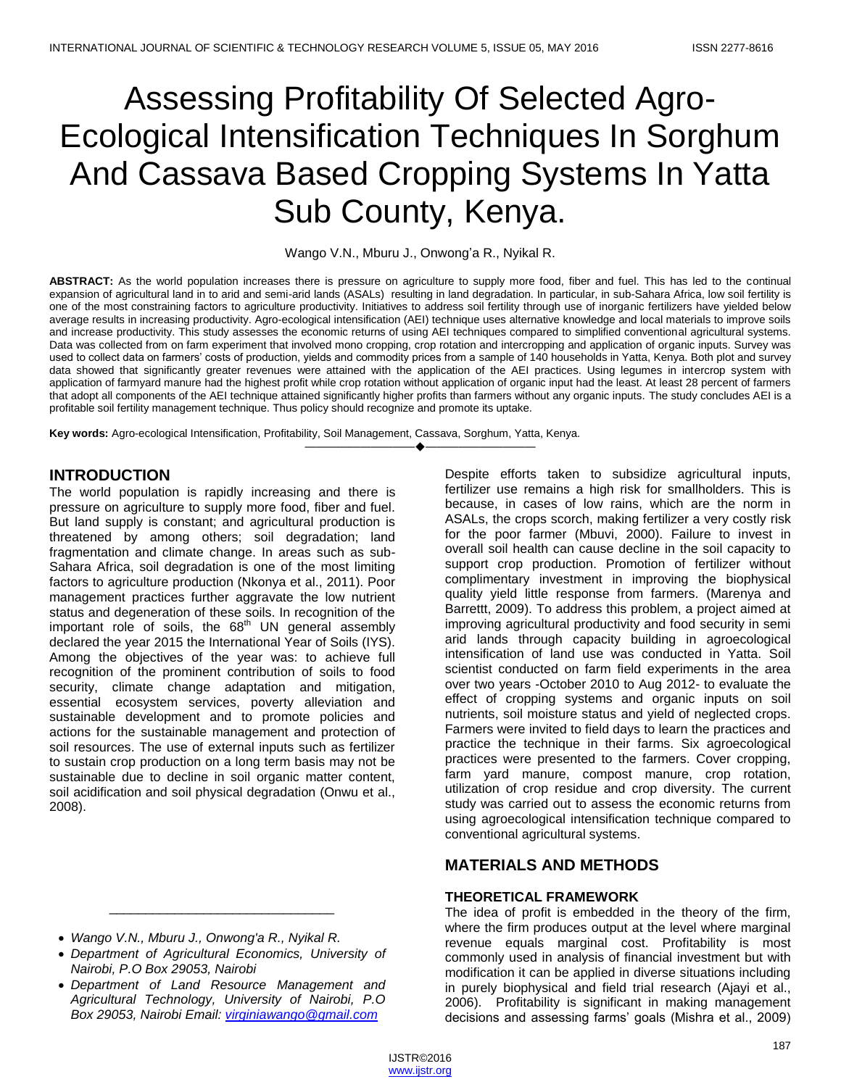# Assessing Profitability Of Selected Agro-Ecological Intensification Techniques In Sorghum And Cassava Based Cropping Systems In Yatta Sub County, Kenya.

Wango V.N., Mburu J., Onwong'a R., Nyikal R.

**ABSTRACT:** As the world population increases there is pressure on agriculture to supply more food, fiber and fuel. This has led to the continual expansion of agricultural land in to arid and semi-arid lands (ASALs) resulting in land degradation. In particular, in sub-Sahara Africa, low soil fertility is one of the most constraining factors to agriculture productivity. Initiatives to address soil fertility through use of inorganic fertilizers have yielded below average results in increasing productivity. Agro-ecological intensification (AEI) technique uses alternative knowledge and local materials to improve soils and increase productivity. This study assesses the economic returns of using AEI techniques compared to simplified conventional agricultural systems. Data was collected from on farm experiment that involved mono cropping, crop rotation and intercropping and application of organic inputs. Survey was used to collect data on farmers' costs of production, yields and commodity prices from a sample of 140 households in Yatta, Kenya. Both plot and survey data showed that significantly greater revenues were attained with the application of the AEI practices. Using legumes in intercrop system with application of farmyard manure had the highest profit while crop rotation without application of organic input had the least. At least 28 percent of farmers that adopt all components of the AEI technique attained significantly higher profits than farmers without any organic inputs. The study concludes AEI is a profitable soil fertility management technique. Thus policy should recognize and promote its uptake.

————————————————————

**Key words:** Agro-ecological Intensification, Profitability, Soil Management, Cassava, Sorghum, Yatta, Kenya.

## **INTRODUCTION**

The world population is rapidly increasing and there is pressure on agriculture to supply more food, fiber and fuel. But land supply is constant; and agricultural production is threatened by among others; soil degradation; land fragmentation and climate change. In areas such as sub-Sahara Africa, soil degradation is one of the most limiting factors to agriculture production (Nkonya et al., 2011). Poor management practices further aggravate the low nutrient status and degeneration of these soils. In recognition of the important role of soils, the  $68<sup>th</sup>$  UN general assembly declared the year 2015 the International Year of Soils (IYS). Among the objectives of the year was: to achieve full recognition of the prominent contribution of soils to food security, climate change adaptation and mitigation, essential ecosystem services, poverty alleviation and sustainable development and to promote policies and actions for the sustainable management and protection of soil resources. The use of external inputs such as fertilizer to sustain crop production on a long term basis may not be sustainable due to decline in soil organic matter content, soil acidification and soil physical degradation (Onwu et al., 2008).

- *Wango V.N., Mburu J., Onwong'a R., Nyikal R.*
- *Department of Agricultural Economics, University of Nairobi, P.O Box 29053, Nairobi*

\_\_\_\_\_\_\_\_\_\_\_\_\_\_\_\_\_\_\_\_\_\_\_\_\_\_\_\_\_\_\_

 *Department of Land Resource Management and Agricultural Technology, University of Nairobi, P.O Box 29053, Nairobi Email: [virginiawango@gmail.com](mailto:virginiawango@gmail.com)*

Despite efforts taken to subsidize agricultural inputs, fertilizer use remains a high risk for smallholders. This is because, in cases of low rains, which are the norm in ASALs, the crops scorch, making fertilizer a very costly risk for the poor farmer (Mbuvi, 2000). Failure to invest in overall soil health can cause decline in the soil capacity to support crop production. Promotion of fertilizer without complimentary investment in improving the biophysical quality yield little response from farmers. (Marenya and Barrettt, 2009). To address this problem, a project aimed at improving agricultural productivity and food security in semi arid lands through capacity building in agroecological intensification of land use was conducted in Yatta. Soil scientist conducted on farm field experiments in the area over two years -October 2010 to Aug 2012- to evaluate the effect of cropping systems and organic inputs on soil nutrients, soil moisture status and yield of neglected crops. Farmers were invited to field days to learn the practices and practice the technique in their farms. Six agroecological practices were presented to the farmers. Cover cropping, farm yard manure, compost manure, crop rotation, utilization of crop residue and crop diversity. The current study was carried out to assess the economic returns from using agroecological intensification technique compared to conventional agricultural systems.

## **MATERIALS AND METHODS**

## **THEORETICAL FRAMEWORK**

The idea of profit is embedded in the theory of the firm, where the firm produces output at the level where marginal revenue equals marginal cost. Profitability is most commonly used in analysis of financial investment but with modification it can be applied in diverse situations including in purely biophysical and field trial research (Ajayi et al., 2006). Profitability is significant in making management decisions and assessing farms' goals (Mishra et al., 2009)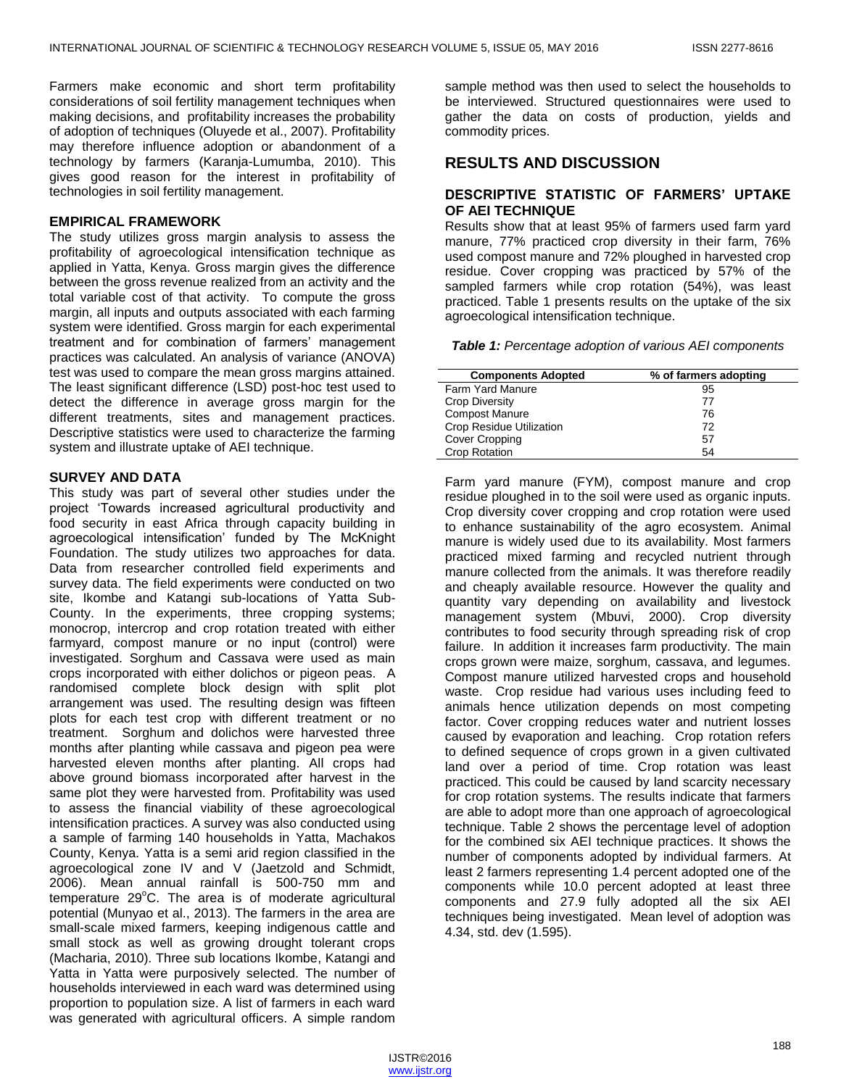Farmers make economic and short term profitability considerations of soil fertility management techniques when making decisions, and profitability increases the probability of adoption of techniques (Oluyede et al., 2007). Profitability may therefore influence adoption or abandonment of a technology by farmers (Karanja-Lumumba, 2010). This gives good reason for the interest in profitability of technologies in soil fertility management.

#### **EMPIRICAL FRAMEWORK**

The study utilizes gross margin analysis to assess the profitability of agroecological intensification technique as applied in Yatta, Kenya. Gross margin gives the difference between the gross revenue realized from an activity and the total variable cost of that activity. To compute the gross margin, all inputs and outputs associated with each farming system were identified. Gross margin for each experimental treatment and for combination of farmers' management practices was calculated. An analysis of variance (ANOVA) test was used to compare the mean gross margins attained. The least significant difference (LSD) post-hoc test used to detect the difference in average gross margin for the different treatments, sites and management practices. Descriptive statistics were used to characterize the farming system and illustrate uptake of AEI technique.

#### **SURVEY AND DATA**

This study was part of several other studies under the project ‗Towards increased agricultural productivity and food security in east Africa through capacity building in agroecological intensification' funded by The McKnight Foundation. The study utilizes two approaches for data. Data from researcher controlled field experiments and survey data. The field experiments were conducted on two site, Ikombe and Katangi sub-locations of Yatta Sub-County. In the experiments, three cropping systems; monocrop, intercrop and crop rotation treated with either farmyard, compost manure or no input (control) were investigated. Sorghum and Cassava were used as main crops incorporated with either dolichos or pigeon peas. A randomised complete block design with split plot arrangement was used. The resulting design was fifteen plots for each test crop with different treatment or no treatment. Sorghum and dolichos were harvested three months after planting while cassava and pigeon pea were harvested eleven months after planting. All crops had above ground biomass incorporated after harvest in the same plot they were harvested from. Profitability was used to assess the financial viability of these agroecological intensification practices. A survey was also conducted using a sample of farming 140 households in Yatta, Machakos County, Kenya. Yatta is a semi arid region classified in the agroecological zone IV and V (Jaetzold and Schmidt, 2006). Mean annual rainfall is 500-750 mm and temperature  $29^{\circ}$ C. The area is of moderate agricultural potential (Munyao et al., 2013). The farmers in the area are small-scale mixed farmers, keeping indigenous cattle and small stock as well as growing drought tolerant crops (Macharia, 2010). Three sub locations Ikombe, Katangi and Yatta in Yatta were purposively selected. The number of households interviewed in each ward was determined using proportion to population size. A list of farmers in each ward was generated with agricultural officers. A simple random

sample method was then used to select the households to be interviewed. Structured questionnaires were used to gather the data on costs of production, yields and commodity prices.

## **RESULTS AND DISCUSSION**

#### **DESCRIPTIVE STATISTIC OF FARMERS' UPTAKE OF AEI TECHNIQUE**

Results show that at least 95% of farmers used farm yard manure, 77% practiced crop diversity in their farm, 76% used compost manure and 72% ploughed in harvested crop residue. Cover cropping was practiced by 57% of the sampled farmers while crop rotation (54%), was least practiced. Table 1 presents results on the uptake of the six agroecological intensification technique.

*Table 1: Percentage adoption of various AEI components*

| <b>Components Adopted</b>       | % of farmers adopting |
|---------------------------------|-----------------------|
| <b>Farm Yard Manure</b>         | 95                    |
| <b>Crop Diversity</b>           | 77                    |
| <b>Compost Manure</b>           | 76                    |
| <b>Crop Residue Utilization</b> | 72                    |
| <b>Cover Cropping</b>           | 57                    |
| <b>Crop Rotation</b>            | 54                    |

Farm yard manure (FYM), compost manure and crop residue ploughed in to the soil were used as organic inputs. Crop diversity cover cropping and crop rotation were used to enhance sustainability of the agro ecosystem. Animal manure is widely used due to its availability. Most farmers practiced mixed farming and recycled nutrient through manure collected from the animals. It was therefore readily and cheaply available resource. However the quality and quantity vary depending on availability and livestock management system (Mbuvi, 2000). Crop diversity contributes to food security through spreading risk of crop failure. In addition it increases farm productivity. The main crops grown were maize, sorghum, cassava, and legumes. Compost manure utilized harvested crops and household waste. Crop residue had various uses including feed to animals hence utilization depends on most competing factor. Cover cropping reduces water and nutrient losses caused by evaporation and leaching. Crop rotation refers to defined sequence of crops grown in a given cultivated land over a period of time. Crop rotation was least practiced. This could be caused by land scarcity necessary for crop rotation systems. The results indicate that farmers are able to adopt more than one approach of agroecological technique. Table 2 shows the percentage level of adoption for the combined six AEI technique practices. It shows the number of components adopted by individual farmers. At least 2 farmers representing 1.4 percent adopted one of the components while 10.0 percent adopted at least three components and 27.9 fully adopted all the six AEI techniques being investigated. Mean level of adoption was 4.34, std. dev (1.595).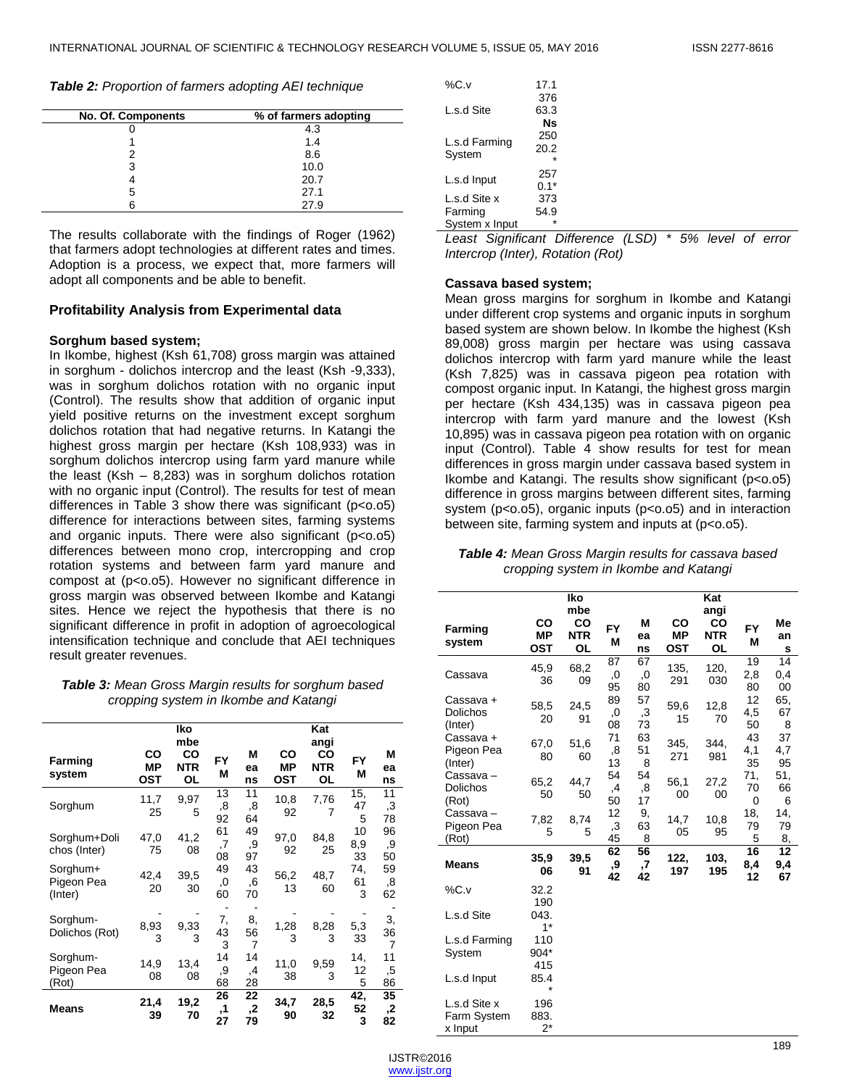*Table 2: Proportion of farmers adopting AEI technique*

| No. Of. Components | % of farmers adopting |
|--------------------|-----------------------|
|                    | 4.3                   |
|                    | 1.4                   |
|                    | 8.6                   |
|                    | 10.0                  |
|                    | 20.7                  |
| ٠h                 | 27.1                  |
|                    | 27.9                  |

The results collaborate with the findings of Roger (1962) that farmers adopt technologies at different rates and times. Adoption is a process, we expect that, more farmers will adopt all components and be able to benefit.

#### **Profitability Analysis from Experimental data**

#### **Sorghum based system;**

In Ikombe, highest (Ksh 61,708) gross margin was attained in sorghum - dolichos intercrop and the least (Ksh -9,333), was in sorghum dolichos rotation with no organic input (Control). The results show that addition of organic input yield positive returns on the investment except sorghum dolichos rotation that had negative returns. In Katangi the highest gross margin per hectare (Ksh 108,933) was in sorghum dolichos intercrop using farm yard manure while the least (Ksh  $-$  8,283) was in sorghum dolichos rotation with no organic input (Control). The results for test of mean differences in Table 3 show there was significant (p<0.05) difference for interactions between sites, farming systems and organic inputs. There were also significant  $(p<0.05)$ differences between mono crop, intercropping and crop rotation systems and between farm yard manure and compost at (p<0.05). However no significant difference in gross margin was observed between Ikombe and Katangi sites. Hence we reject the hypothesis that there is no significant difference in profit in adoption of agroecological intensification technique and conclude that AEI techniques result greater revenues.

#### *Table 3: Mean Gross Margin results for sorghum based cropping system in Ikombe and Katangi*

|                                   |                               | lko<br>mbe             | Kat            |                |                        |                                       |                 |                            |
|-----------------------------------|-------------------------------|------------------------|----------------|----------------|------------------------|---------------------------------------|-----------------|----------------------------|
| Farming<br>system                 | CO<br><b>MP</b><br><b>OST</b> | CO<br><b>NTR</b><br>OL | FY<br>М        | М<br>ea<br>ns  | CO<br><b>MP</b><br>OST | angi<br>CO<br><b>NTR</b><br><b>OL</b> | FY<br>M         | М<br>ea<br>ns              |
| Sorghum                           | 11,7<br>25                    | 9,97<br>5              | 13<br>,8<br>92 | 11<br>8,<br>64 | 10,8<br>92             | 7,76<br>7                             | 15,<br>47<br>5  | 11<br>$\mathbf{.3}$<br>78  |
| Sorghum+Doli<br>chos (Inter)      | 47,0<br>75                    | 41,2<br>08             | 61<br>,7<br>08 | 49<br>9,<br>97 | 97,0<br>92             | 84,8<br>25                            | 10<br>8,9<br>33 | 96<br>9,<br>50             |
| Sorghum+<br>Pigeon Pea<br>(Inter) | 42,4<br>20                    | 39,5<br>30             | 49<br>,0<br>60 | 43<br>6,<br>70 | 56,2<br>13             | 48,7<br>60                            | 74,<br>61<br>3  | 59<br>,8<br>62             |
| Sorghum-<br>Dolichos (Rot)        | 8,93<br>3                     | 9,33<br>3              | 7,<br>43<br>3  | 8,<br>56<br>7  | 1,28<br>3              | 8,28<br>3                             | 5,3<br>33       | 3,<br>36<br>$\overline{7}$ |
| Sorghum-<br>Pigeon Pea<br>(Rot)   | 14,9<br>08                    | 13,4<br>08             | 14<br>,9<br>68 | 14<br>,4<br>28 | 11,0<br>38             | 9,59<br>3                             | 14,<br>12<br>5  | 11<br>,5<br>86             |
| <b>Means</b>                      | 21,4<br>39                    | 19,2<br>70             | 26<br>,1<br>27 | 22<br>2,<br>79 | 34,7<br>90             | 28,5<br>32                            | 42,<br>52<br>3  | 35<br>,2<br>82             |

| $\%C.v$                 | 17.1                  |
|-------------------------|-----------------------|
| L.s.d Site              | 376<br>63.3           |
| L.s.d Farming<br>System | Ns<br>250<br>20.2     |
| L.s.d Input             | $\star$<br>257        |
| L.s.d Site x<br>Farming | $0.1*$<br>373<br>54.9 |
| System x Input          |                       |

*Least Significant Difference (LSD) \* 5% level of error Intercrop (Inter), Rotation (Rot)*

#### **Cassava based system;**

Mean gross margins for sorghum in Ikombe and Katangi under different crop systems and organic inputs in sorghum based system are shown below. In Ikombe the highest (Ksh 89,008) gross margin per hectare was using cassava dolichos intercrop with farm yard manure while the least (Ksh 7,825) was in cassava pigeon pea rotation with compost organic input. In Katangi, the highest gross margin per hectare (Ksh 434,135) was in cassava pigeon pea intercrop with farm yard manure and the lowest (Ksh 10,895) was in cassava pigeon pea rotation with on organic input (Control). Table 4 show results for test for mean differences in gross margin under cassava based system in Ikombe and Katangi. The results show significant (p<0.05) difference in gross margins between different sites, farming system (p<0.05), organic inputs (p<0.05) and in interaction between site, farming system and inputs at (p<0.05).

#### *Table 4: Mean Gross Margin results for cassava based cropping system in Ikombe and Katangi*

| <b>Farming</b><br>system                | CO<br><b>MP</b><br>OST | Iko<br>mbe<br>CO<br><b>NTR</b><br>OL | <b>FY</b><br>М | M<br>ea<br>ns  | CO<br><b>MP</b><br><b>OST</b> | Kat<br>angi<br>CO<br><b>NTR</b><br><b>OL</b> | FY<br>М         | Me<br>an<br>S   |
|-----------------------------------------|------------------------|--------------------------------------|----------------|----------------|-------------------------------|----------------------------------------------|-----------------|-----------------|
| Cassava                                 | 45,9<br>36             | 68,2<br>09                           | 87<br>,0<br>95 | 67<br>,0<br>80 | 135,<br>291                   | 120,<br>030                                  | 19<br>2,8<br>80 | 14<br>0,4<br>00 |
| Cassava +<br><b>Dolichos</b><br>(Inter) | 58,5<br>20             | 24,5<br>91                           | 89<br>,0<br>08 | 57<br>,3<br>73 | 59,6<br>15                    | 12,8<br>70                                   | 12<br>4,5<br>50 | 65,<br>67<br>8  |
| Cassava +<br>Pigeon Pea<br>(Inter)      | 67,0<br>80             | 51,6<br>60                           | 71<br>8,<br>13 | 63<br>51<br>8  | 345,<br>271                   | 344,<br>981                                  | 43<br>4,1<br>35 | 37<br>4,7<br>95 |
| Cassava –<br><b>Dolichos</b><br>(Rot)   | 65,2<br>50             | 44,7<br>50                           | 54<br>,4<br>50 | 54<br>,8<br>17 | 56,1<br>00                    | 27,2<br>00                                   | 71,<br>70<br>0  | 51,<br>66<br>6  |
| Cassava –<br>Pigeon Pea<br>(Rot)        | 7,82<br>5              | 8,74<br>5                            | 12<br>,З<br>45 | 9,<br>63<br>8  | 14,7<br>05                    | 10,8<br>95                                   | 18,<br>79<br>5  | 14,<br>79<br>8, |
| <b>Means</b>                            | 35,9<br>06             | 39,5<br>91                           | 62<br>,9<br>42 | 56<br>,7<br>42 | 122,<br>197                   | 103.<br>195                                  | 16<br>8,4<br>12 | 12<br>9,4<br>67 |
| $\%C.v$                                 | 32.2<br>190            |                                      |                |                |                               |                                              |                 |                 |
| L.s.d Site                              | 043.<br>$1*$           |                                      |                |                |                               |                                              |                 |                 |
| L.s.d Farming<br>System                 | 110<br>904*<br>415     |                                      |                |                |                               |                                              |                 |                 |
| L.s.d Input                             | 85.4<br>$\star$        |                                      |                |                |                               |                                              |                 |                 |
| L.s.d Site x<br>Farm System<br>x Input  | 196<br>883.<br>$2^*$   |                                      |                |                |                               |                                              |                 |                 |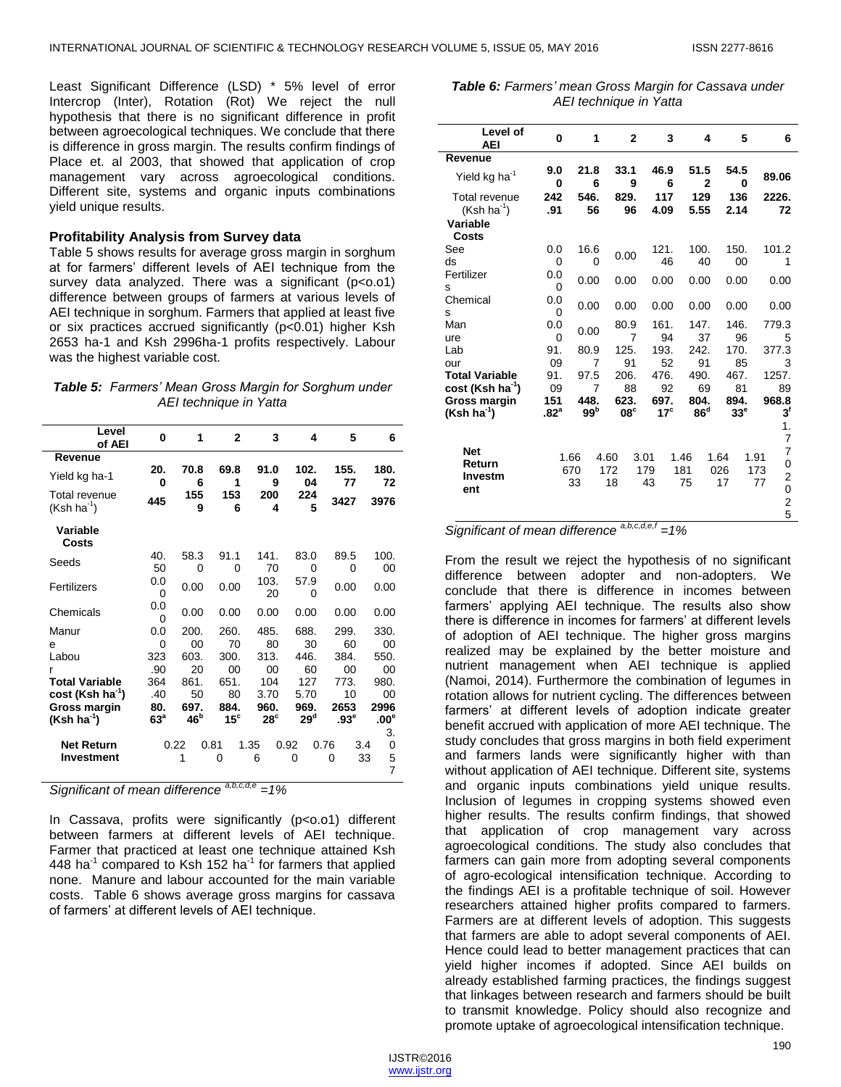Least Significant Difference (LSD) \* 5% level of error Intercrop (Inter), Rotation (Rot) We reject the null hypothesis that there is no significant difference in profit between agroecological techniques. We conclude that there is difference in gross margin. The results confirm findings of Place et. al 2003, that showed that application of crop management vary across agroecological conditions. Different site, systems and organic inputs combinations yield unique results.

#### **Profitability Analysis from Survey data**

Table 5 shows results for average gross margin in sorghum at for farmers' different levels of AEI technique from the survey data analyzed. There was a significant (p<0.01) difference between groups of farmers at various levels of AEI technique in sorghum. Farmers that applied at least five or six practices accrued significantly (p<0.01) higher Ksh 2653 ha-1 and Ksh 2996ha-1 profits respectively. Labour was the highest variable cost.

*Table 5: Farmers' Mean Gross Margin for Sorghum under AEI technique in Yatta*

| Level<br>of AEI               | 0                      | 1                       | $\mathbf{2}$         | 3                    | 4              | 5                        | 6                         |
|-------------------------------|------------------------|-------------------------|----------------------|----------------------|----------------|--------------------------|---------------------------|
| Revenue                       |                        |                         |                      |                      |                |                          |                           |
| Yield kg ha-1                 | 20.<br>0               | 70.8<br>6               | 69.8<br>1            | 91.0<br>9            | 102.<br>04     | 155.<br>77               | 180.<br>72                |
| Total revenue<br>$(Ksh ha-1)$ | 445                    | 155<br>9                | 153<br>6             | 200<br>4             | 224<br>5       | 3427                     | 3976                      |
| Variable<br>Costs             |                        |                         |                      |                      |                |                          |                           |
| Seeds                         | 40.                    | 58.3                    | 91.1                 | 141.                 | 83.0           | 89.5                     | 100.                      |
|                               | 50                     | 0                       | 0                    | 70                   | 0              | 0                        | 00                        |
| Fertilizers                   | 0.0<br>0               | 0.00                    | 0.00                 | 103.<br>20           | 57.9<br>0      | 0.00                     | 0.00                      |
| Chemicals                     | 0.0<br>0               | 0.00                    | 0.00                 | 0.00                 | 0.00           | 0.00                     | 0.00                      |
| Manur                         | 0.0                    | 200.                    | 260.                 | 485.                 | 688.           | 299.                     | 330.                      |
| e                             | 0                      | 00                      | 70                   | 80                   | 30             | 60                       | 00                        |
| Labou                         | 323                    | 603.                    | 300.                 | 313.                 | 446.           | 384.                     | 550.                      |
| r                             | .90                    | 20                      | 00                   | 00                   | 60             | 00                       | 00                        |
| <b>Total Variable</b>         | 364                    | 861.                    | 651.                 | 104                  | 127            | 773.                     | 980.                      |
| cost (Ksh ha <sup>-1</sup> )  | .40                    | 50                      | 80                   | 3.70                 | 5.70           | 10                       | 00                        |
| Gross margin<br>$(Ksh ha-1)$  | 80.<br>63 <sup>a</sup> | 697.<br>46 <sup>b</sup> | 884.<br>$15^{\circ}$ | 960.<br>$28^{\circ}$ | 969.<br>$29^d$ | 2653<br>.93 <sup>e</sup> | 2996<br>$.00^\circ$       |
|                               |                        |                         |                      |                      |                |                          | 3.                        |
| <b>Net Return</b>             |                        | 0.22                    | 0.81                 | 1.35                 | 0.92           | 0.76<br>3.4              | 0                         |
| <b>Investment</b>             |                        | 1                       | 0                    | 6                    | 0              | 0                        | 5<br>33<br>$\overline{7}$ |

*Significant of mean difference a,b,c,d,e =1%*

In Cassava, profits were significantly (p<0.01) different between farmers at different levels of AEI technique. Farmer that practiced at least one technique attained Ksh 448 ha<sup>-1</sup> compared to Ksh 152 ha<sup>-1</sup> for farmers that applied none. Manure and labour accounted for the main variable costs. Table 6 shows average gross margins for cassava of farmers' at different levels of AEI technique.

*Table 6: Farmers' mean Gross Margin for Cassava under AEI technique in Yatta*

| Level of<br><b>AEI</b>                                | 0                       | 1                       | $\mathbf{2}$           | 3                    | 4                       | 5                    | 6                                                                       |
|-------------------------------------------------------|-------------------------|-------------------------|------------------------|----------------------|-------------------------|----------------------|-------------------------------------------------------------------------|
| Revenue                                               |                         |                         |                        |                      |                         |                      |                                                                         |
| Yield kg ha <sup>-1</sup>                             | 9.0<br>0                | 21.8<br>6               | 33.1<br>9              | 46.9<br>6            | 51.5<br>$\mathbf{2}$    | 54.5<br>0            | 89.06                                                                   |
| Total revenue<br>$(Ksh ha^{-1})$                      | 242<br>.91              | 546.<br>56              | 829.<br>96             | 117<br>4.09          | 129<br>5.55             | 136<br>2.14          | 2226.<br>72                                                             |
| Variable<br>Costs                                     |                         |                         |                        |                      |                         |                      |                                                                         |
| See<br>ds                                             | 0.0<br>0                | 16.6<br>$\Omega$        | 0.00                   | 121.<br>46           | 100.<br>40              | 150.<br>00           | 101.2<br>1                                                              |
| Fertilizer<br>s                                       | 0.0<br>0                | 0.00                    | 0.00                   | 0.00                 | 0.00                    | 0.00                 | 0.00                                                                    |
| Chemical<br>s                                         | 0.0<br>0                | 0.00                    | 0.00                   | 0.00                 | 0.00                    | 0.00                 | 0.00                                                                    |
| Man<br>ure                                            | 0.0<br>0                | 0.00                    | 80.9<br>$\overline{7}$ | 161.<br>94           | 147.<br>37              | 146.<br>96           | 779.3<br>5                                                              |
| Lab<br>our                                            | 91.<br>09               | 80.9<br>$\overline{7}$  | 125.<br>91             | 193.<br>52           | 242.<br>91              | 170.<br>85           | 377.3<br>3                                                              |
| <b>Total Variable</b><br>cost (Ksh ha <sup>-1</sup> ) | 91.<br>09               | 97.5<br>7               | 206.<br>88             | 476.<br>92           | 490.<br>69              | 467.<br>81           | 1257.<br>89                                                             |
| <b>Gross margin</b><br>$(Ksh ha-1)$                   | 151<br>.82 <sup>a</sup> | 448.<br>99 <sup>b</sup> | 623.<br>$08^{\circ}$   | 697.<br>$17^{\circ}$ | 804.<br>86 <sup>d</sup> | 894.<br>$33^{\circ}$ | 968.8<br>$3^{\mathsf{f}}$                                               |
|                                                       |                         |                         |                        |                      |                         |                      | 1.<br>$\overline{7}$                                                    |
| <b>Net</b><br>Return<br>Investm<br>ent                | 1.66                    | 670<br>33               | 4.60<br>172<br>18      | 3.01<br>179<br>43    | 1.46<br>181<br>75       | 1.64<br>026<br>17    | 7<br>1.91<br>0<br>173<br>$\frac{2}{0}$<br>77<br>$\overline{\mathbf{c}}$ |
|                                                       |                         |                         |                        |                      |                         |                      | 5                                                                       |

*Significant of mean difference a,b,c,d,e,f =1%*

From the result we reject the hypothesis of no significant difference between adopter and non-adopters. We conclude that there is difference in incomes between farmers' applying AEI technique. The results also show there is difference in incomes for farmers' at different levels of adoption of AEI technique. The higher gross margins realized may be explained by the better moisture and nutrient management when AEI technique is applied (Namoi, 2014). Furthermore the combination of legumes in rotation allows for nutrient cycling. The differences between farmers' at different levels of adoption indicate greater benefit accrued with application of more AEI technique. The study concludes that gross margins in both field experiment and farmers lands were significantly higher with than without application of AEI technique. Different site, systems and organic inputs combinations yield unique results. Inclusion of legumes in cropping systems showed even higher results. The results confirm findings, that showed that application of crop management vary across agroecological conditions. The study also concludes that farmers can gain more from adopting several components of agro-ecological intensification technique. According to the findings AEI is a profitable technique of soil. However researchers attained higher profits compared to farmers. Farmers are at different levels of adoption. This suggests that farmers are able to adopt several components of AEI. Hence could lead to better management practices that can yield higher incomes if adopted. Since AEI builds on already established farming practices, the findings suggest that linkages between research and farmers should be built to transmit knowledge. Policy should also recognize and promote uptake of agroecological intensification technique.